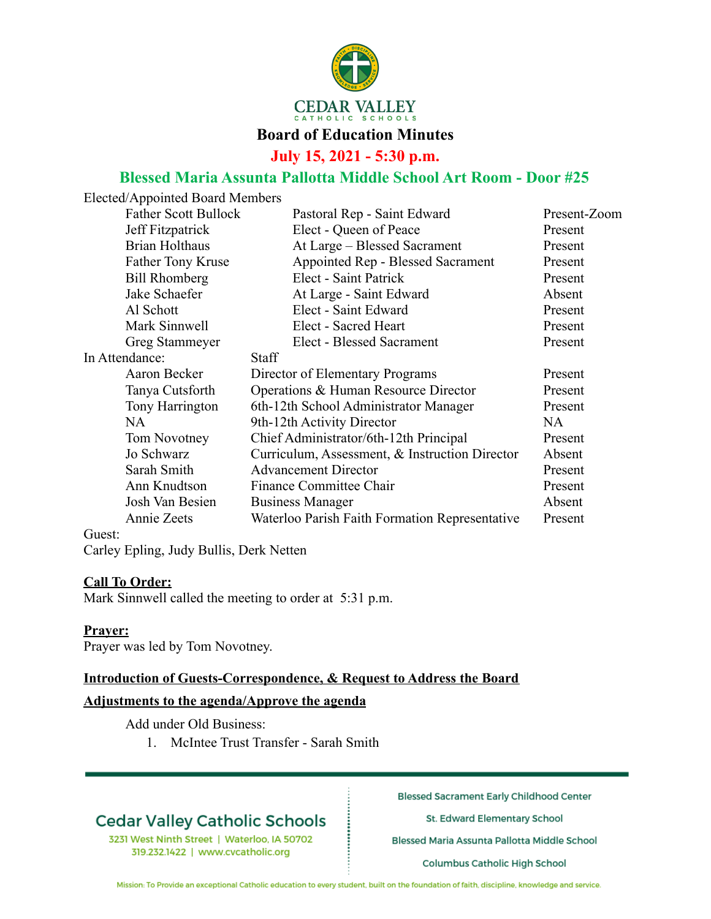

## **Board of Education Minutes**

**July 15, 2021 - 5:30 p.m.**

# **Blessed Maria Assunta Pallotta Middle School Art Room - Door #25**

| Elected/Appointed Board Members |                                                |              |
|---------------------------------|------------------------------------------------|--------------|
| <b>Father Scott Bullock</b>     | Pastoral Rep - Saint Edward                    | Present-Zoom |
| Jeff Fitzpatrick                | Elect - Queen of Peace                         | Present      |
| <b>Brian Holthaus</b>           | At Large - Blessed Sacrament                   | Present      |
| Father Tony Kruse               | Appointed Rep - Blessed Sacrament              | Present      |
| <b>Bill Rhomberg</b>            | Elect - Saint Patrick                          | Present      |
| Jake Schaefer                   | At Large - Saint Edward                        | Absent       |
| Al Schott                       | Elect - Saint Edward                           | Present      |
| Mark Sinnwell                   | Elect - Sacred Heart                           | Present      |
| Greg Stammeyer                  | Elect - Blessed Sacrament                      | Present      |
| In Attendance:                  | <b>Staff</b>                                   |              |
| Aaron Becker                    | Director of Elementary Programs                | Present      |
| Tanya Cutsforth                 | Operations & Human Resource Director           | Present      |
| Tony Harrington                 | 6th-12th School Administrator Manager          | Present      |
| NA                              | 9th-12th Activity Director                     | NA           |
| Tom Novotney                    | Chief Administrator/6th-12th Principal         | Present      |
| Jo Schwarz                      | Curriculum, Assessment, & Instruction Director | Absent       |
| Sarah Smith                     | <b>Advancement Director</b>                    | Present      |
| Ann Knudtson                    | Finance Committee Chair                        | Present      |
| Josh Van Besien                 | <b>Business Manager</b>                        | Absent       |
| Annie Zeets                     | Waterloo Parish Faith Formation Representative | Present      |
| $\sim$ $ \sim$ $\sim$ $\sim$    |                                                |              |

#### Guest:

Carley Epling, Judy Bullis, Derk Netten

#### **Call To Order:**

Mark Sinnwell called the meeting to order at 5:31 p.m.

#### **Prayer:**

Prayer was led by Tom Novotney.

### **Introduction of Guests-Correspondence, & Request to Address the Board**

#### **Adjustments to the agenda/Approve the agenda**

Add under Old Business:

1. McIntee Trust Transfer - Sarah Smith

# **Cedar Valley Catholic Schools**

3231 West Ninth Street | Waterloo, IA 50702 319.232.1422 | www.cvcatholic.org

**Blessed Sacrament Early Childhood Center** 

St. Edward Elementary School

Blessed Maria Assunta Pallotta Middle School

Columbus Catholic High School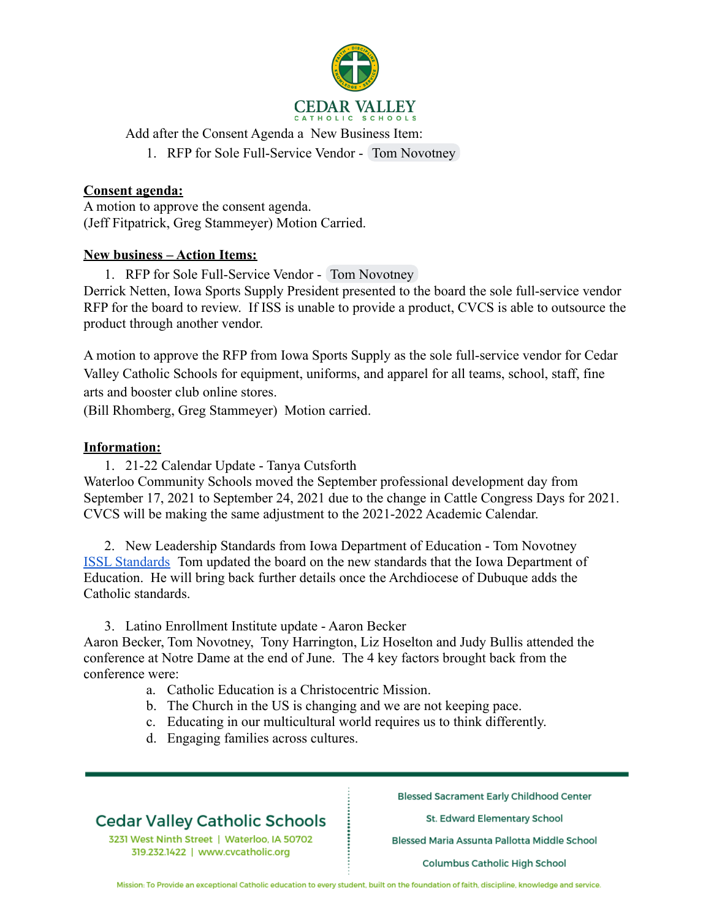

## Add after the Consent Agenda a New Business Item:

## 1. RFP for Sole Full-Service Vendor - Tom Novotney

## **Consent agenda:**

A motion to approve the consent agenda. (Jeff Fitpatrick, Greg Stammeyer) Motion Carried.

### **New business – Action Items:**

1. RFP for Sole Full-Service Vendor - Tom Novotney

Derrick Netten, Iowa Sports Supply President presented to the board the sole full-service vendor RFP for the board to review. If ISS is unable to provide a product, CVCS is able to outsource the product through another vendor.

A motion to approve the RFP from Iowa Sports Supply as the sole full-service vendor for Cedar Valley Catholic Schools for equipment, uniforms, and apparel for all teams, school, staff, fine arts and booster club online stores.

(Bill Rhomberg, Greg Stammeyer) Motion carried.

## **Information:**

1. 21-22 Calendar Update - Tanya Cutsforth Waterloo Community Schools moved the September professional development day from September 17, 2021 to September 24, 2021 due to the change in Cattle Congress Days for 2021. CVCS will be making the same adjustment to the 2021-2022 Academic Calendar.

2. New Leadership Standards from Iowa Department of Education - Tom Novotney ISSL Standards Tom updated the board on the new standards that the Iowa Department of Education. He will bring back further details once the Archdiocese of Dubuque adds the Catholic standards.

3. Latino Enrollment Institute update - Aaron Becker

Aaron Becker, Tom Novotney, Tony Harrington, Liz Hoselton and Judy Bullis attended the conference at Notre Dame at the end of June. The 4 key factors brought back from the conference were:

- a. Catholic Education is a Christocentric Mission.
- b. The Church in the US is changing and we are not keeping pace.
- c. Educating in our multicultural world requires us to think differently.
- d. Engaging families across cultures.

# **Cedar Valley Catholic Schools**

3231 West Ninth Street | Waterloo, IA 50702 319.232.1422 | www.cvcatholic.org

**Blessed Sacrament Early Childhood Center** 

St. Edward Elementary School

Blessed Maria Assunta Pallotta Middle School

Columbus Catholic High School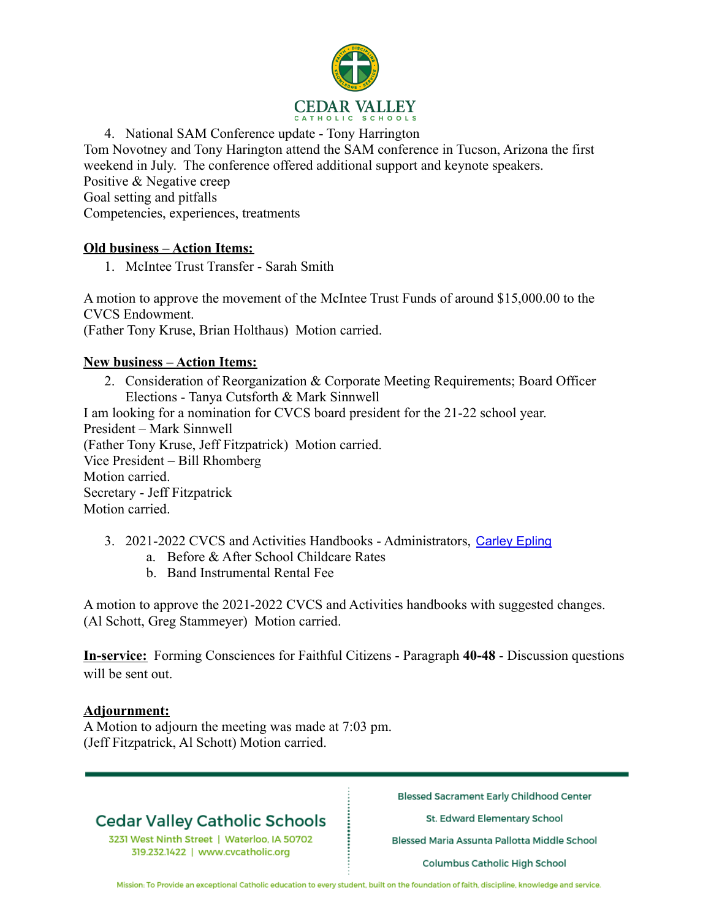

4. National SAM Conference update - Tony Harrington Tom Novotney and Tony Harington attend the SAM conference in Tucson, Arizona the first weekend in July. The conference offered additional support and keynote speakers. Positive & Negative creep Goal setting and pitfalls Competencies, experiences, treatments

### **Old business – Action Items:**

1. McIntee Trust Transfer - Sarah Smith

A motion to approve the movement of the McIntee Trust Funds of around \$15,000.00 to the CVCS Endowment.

(Father Tony Kruse, Brian Holthaus) Motion carried.

### **New business – Action Items:**

2. Consideration of Reorganization & Corporate Meeting Requirements; Board Officer Elections - Tanya Cutsforth & Mark Sinnwell I am looking for a nomination for CVCS board president for the 21-22 school year. President – Mark Sinnwell (Father Tony Kruse, Jeff Fitzpatrick) Motion carried. Vice President – Bill Rhomberg Motion carried. Secretary - Jeff Fitzpatrick Motion carried.

- 3. 2021-2022 CVCS and Activities Handbooks Administrators, Carley Epling
	- a. Before & After School Childcare Rates
	- b. Band Instrumental Rental Fee

A motion to approve the 2021-2022 CVCS and Activities handbooks with suggested changes. (Al Schott, Greg Stammeyer) Motion carried.

**In-service:** Forming Consciences for Faithful Citizens - Paragraph **40-48** - Discussion questions will be sent out.

### **Adjournment:**

A Motion to adjourn the meeting was made at 7:03 pm. (Jeff Fitzpatrick, Al Schott) Motion carried.

# **Cedar Valley Catholic Schools**

3231 West Ninth Street | Waterloo, IA 50702 319.232.1422 | www.cvcatholic.org

**Blessed Sacrament Early Childhood Center** 

St. Edward Elementary School

Blessed Maria Assunta Pallotta Middle School

Columbus Catholic High School